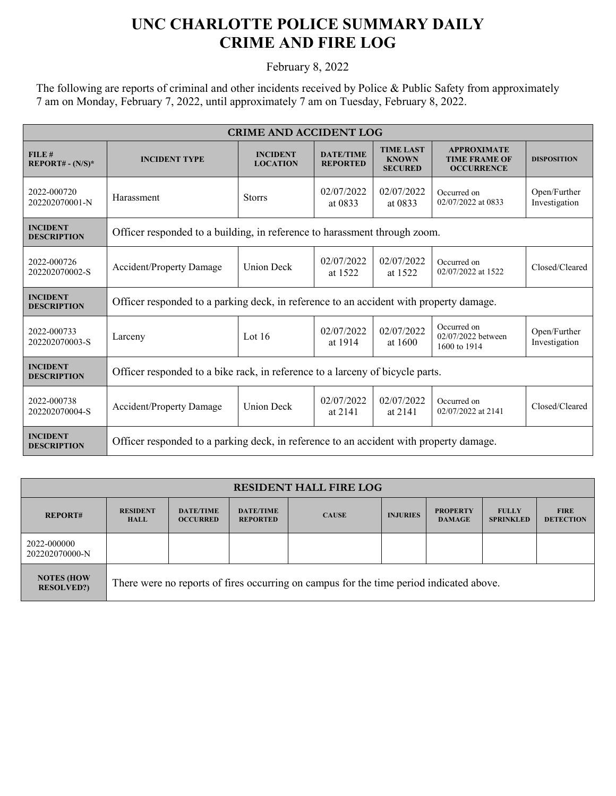## **UNC CHARLOTTE POLICE SUMMARY DAILY CRIME AND FIRE LOG**

February 8, 2022

The following are reports of criminal and other incidents received by Police & Public Safety from approximately 7 am on Monday, February 7, 2022, until approximately 7 am on Tuesday, February 8, 2022.

| <b>CRIME AND ACCIDENT LOG</b>         |                                                                                        |                                    |                                     |                                                    |                                                                 |                               |  |
|---------------------------------------|----------------------------------------------------------------------------------------|------------------------------------|-------------------------------------|----------------------------------------------------|-----------------------------------------------------------------|-------------------------------|--|
| FILE#<br>$REPORT# - (N/S)*$           | <b>INCIDENT TYPE</b>                                                                   | <b>INCIDENT</b><br><b>LOCATION</b> | <b>DATE/TIME</b><br><b>REPORTED</b> | <b>TIME LAST</b><br><b>KNOWN</b><br><b>SECURED</b> | <b>APPROXIMATE</b><br><b>TIME FRAME OF</b><br><b>OCCURRENCE</b> | <b>DISPOSITION</b>            |  |
| 2022-000720<br>202202070001-N         | Harassment                                                                             | <b>Storrs</b>                      | 02/07/2022<br>at 0833               | 02/07/2022<br>at 0833                              | Occurred on<br>02/07/2022 at 0833                               | Open/Further<br>Investigation |  |
| <b>INCIDENT</b><br><b>DESCRIPTION</b> | Officer responded to a building, in reference to harassment through zoom.              |                                    |                                     |                                                    |                                                                 |                               |  |
| 2022-000726<br>202202070002-S         | <b>Accident/Property Damage</b>                                                        | <b>Union Deck</b>                  | 02/07/2022<br>at 1522               | 02/07/2022<br>at 1522                              | Occurred on<br>02/07/2022 at 1522                               | Closed/Cleared                |  |
| <b>INCIDENT</b><br><b>DESCRIPTION</b> | Officer responded to a parking deck, in reference to an accident with property damage. |                                    |                                     |                                                    |                                                                 |                               |  |
| 2022-000733<br>202202070003-S         | Larceny                                                                                | Lot $16$                           | 02/07/2022<br>at 1914               | 02/07/2022<br>at 1600                              | Occurred on<br>02/07/2022 between<br>1600 to 1914               | Open/Further<br>Investigation |  |
| <b>INCIDENT</b><br><b>DESCRIPTION</b> | Officer responded to a bike rack, in reference to a larceny of bicycle parts.          |                                    |                                     |                                                    |                                                                 |                               |  |
| 2022-000738<br>202202070004-S         | Accident/Property Damage                                                               | <b>Union Deck</b>                  | 02/07/2022<br>at 2141               | 02/07/2022<br>at 2141                              | Occurred on<br>02/07/2022 at 2141                               | Closed/Cleared                |  |
| <b>INCIDENT</b><br><b>DESCRIPTION</b> | Officer responded to a parking deck, in reference to an accident with property damage. |                                    |                                     |                                                    |                                                                 |                               |  |

| <b>RESIDENT HALL FIRE LOG</b>           |                                                                                         |                                     |                                     |              |                 |                                  |                                  |                                 |
|-----------------------------------------|-----------------------------------------------------------------------------------------|-------------------------------------|-------------------------------------|--------------|-----------------|----------------------------------|----------------------------------|---------------------------------|
| <b>REPORT#</b>                          | <b>RESIDENT</b><br><b>HALL</b>                                                          | <b>DATE/TIME</b><br><b>OCCURRED</b> | <b>DATE/TIME</b><br><b>REPORTED</b> | <b>CAUSE</b> | <b>INJURIES</b> | <b>PROPERTY</b><br><b>DAMAGE</b> | <b>FULLY</b><br><b>SPRINKLED</b> | <b>FIRE</b><br><b>DETECTION</b> |
| 2022-000000<br>202202070000-N           |                                                                                         |                                     |                                     |              |                 |                                  |                                  |                                 |
| <b>NOTES (HOW)</b><br><b>RESOLVED?)</b> | There were no reports of fires occurring on campus for the time period indicated above. |                                     |                                     |              |                 |                                  |                                  |                                 |